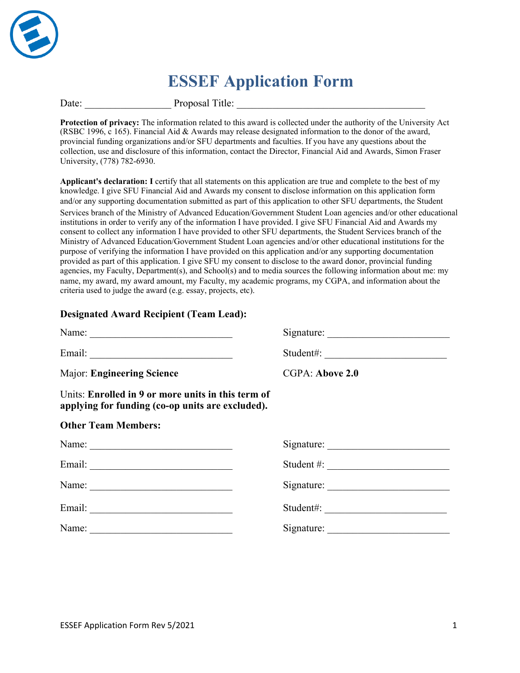

# **ESSEF Application Form**

Date: Title: Proposal Title:

**Protection of privacy:** The information related to this award is collected under the authority of the University Act (RSBC 1996, c 165). Financial Aid & Awards may release designated information to the donor of the award, provincial funding organizations and/or SFU departments and faculties. If you have any questions about the collection, use and disclosure of this information, contact the Director, Financial Aid and Awards, Simon Fraser University, (778) 782-6930.

**Applicant's declaration: I** certify that all statements on this application are true and complete to the best of my knowledge. I give SFU Financial Aid and Awards my consent to disclose information on this application form and/or any supporting documentation submitted as part of this application to other SFU departments, the Student Services branch of the Ministry of Advanced Education/Government Student Loan agencies and/or other educational institutions in order to verify any of the information I have provided. I give SFU Financial Aid and Awards my consent to collect any information I have provided to other SFU departments, the Student Services branch of the Ministry of Advanced Education/Government Student Loan agencies and/or other educational institutions for the purpose of verifying the information I have provided on this application and/or any supporting documentation provided as part of this application. I give SFU my consent to disclose to the award donor, provincial funding agencies, my Faculty, Department(s), and School(s) and to media sources the following information about me: my name, my award, my award amount, my Faculty, my academic programs, my CGPA, and information about the criteria used to judge the award (e.g. essay, projects, etc).

#### **Designated Award Recipient (Team Lead):**

| Name:                                                                                                  | Signature:      |
|--------------------------------------------------------------------------------------------------------|-----------------|
|                                                                                                        | Student#:       |
| Major: Engineering Science                                                                             | CGPA: Above 2.0 |
| Units: Enrolled in 9 or more units in this term of<br>applying for funding (co-op units are excluded). |                 |
| <b>Other Team Members:</b>                                                                             |                 |
|                                                                                                        |                 |
|                                                                                                        | Student #:      |
|                                                                                                        |                 |
|                                                                                                        | Student#:       |
| Name:                                                                                                  | Signature:      |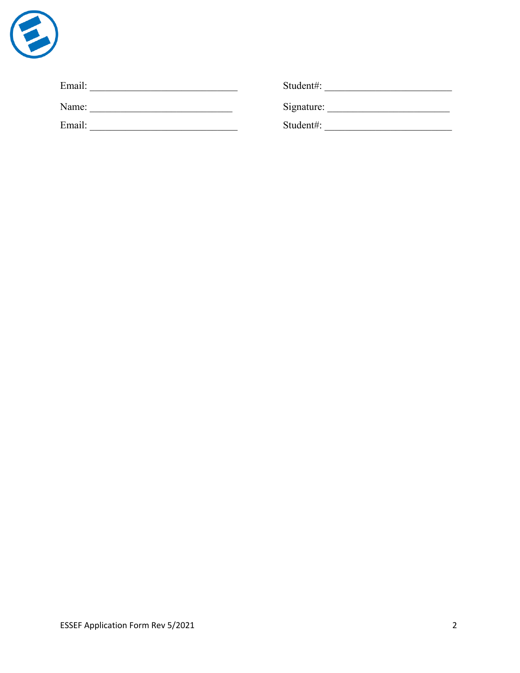

| Email: | Student#:  |
|--------|------------|
| Name:  | Signature: |
| Email: | Student#:  |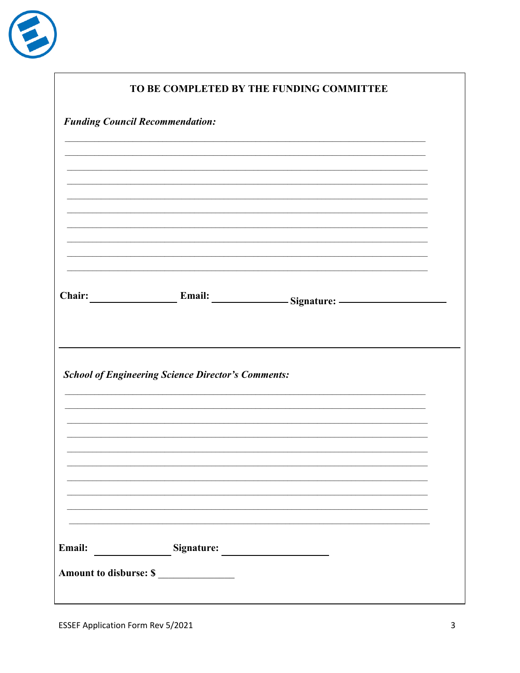

|        |                                                           | TO BE COMPLETED BY THE FUNDING COMMITTEE |  |
|--------|-----------------------------------------------------------|------------------------------------------|--|
|        | <b>Funding Council Recommendation:</b>                    |                                          |  |
|        |                                                           |                                          |  |
|        |                                                           |                                          |  |
|        |                                                           |                                          |  |
|        |                                                           |                                          |  |
|        |                                                           |                                          |  |
|        |                                                           |                                          |  |
| Chair: |                                                           | Email: Signature:                        |  |
|        |                                                           |                                          |  |
|        |                                                           |                                          |  |
|        | <b>School of Engineering Science Director's Comments:</b> |                                          |  |
|        |                                                           |                                          |  |
|        |                                                           |                                          |  |
|        |                                                           |                                          |  |
|        |                                                           |                                          |  |
|        |                                                           |                                          |  |
|        |                                                           |                                          |  |
| Email: | Signature: Signature:                                     |                                          |  |
|        | Amount to disburse: \$                                    |                                          |  |
|        |                                                           |                                          |  |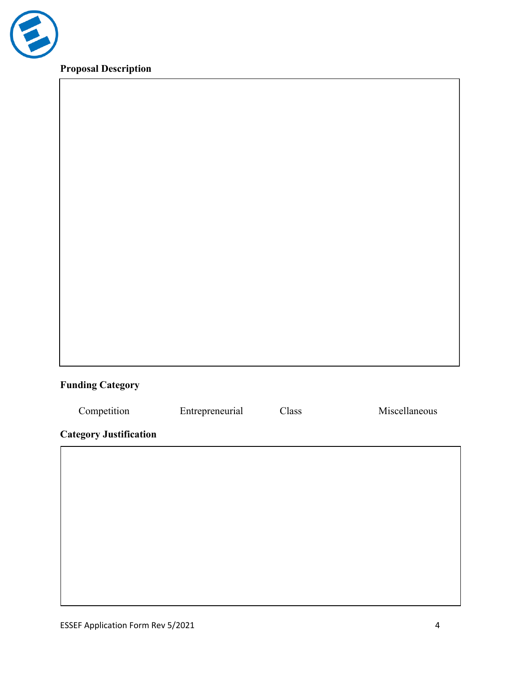

# **Proposal Description**

# **Funding Category**

| Competition                   | Entrepreneurial | Class | Miscellaneous |  |  |  |
|-------------------------------|-----------------|-------|---------------|--|--|--|
| <b>Category Justification</b> |                 |       |               |  |  |  |
|                               |                 |       |               |  |  |  |
|                               |                 |       |               |  |  |  |
|                               |                 |       |               |  |  |  |
|                               |                 |       |               |  |  |  |
|                               |                 |       |               |  |  |  |
|                               |                 |       |               |  |  |  |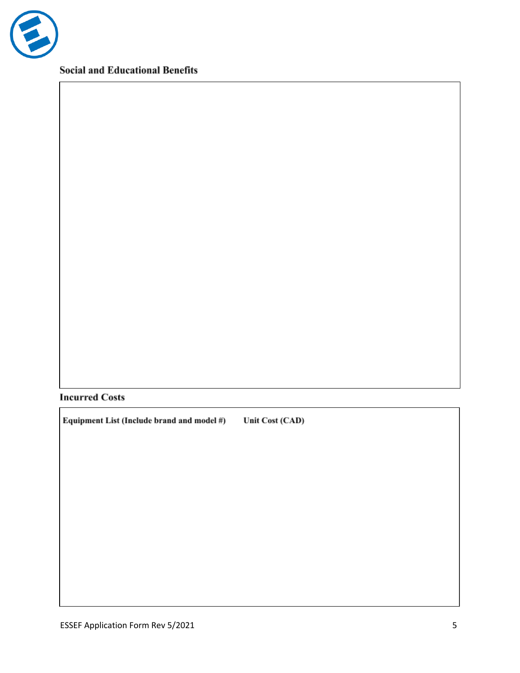

**Social and Educational Benefits** 

### **Incurred Costs**

Equipment List (Include brand and model #) Unit Cost (CAD)

ESSEF Application Form Rev 5/2021 5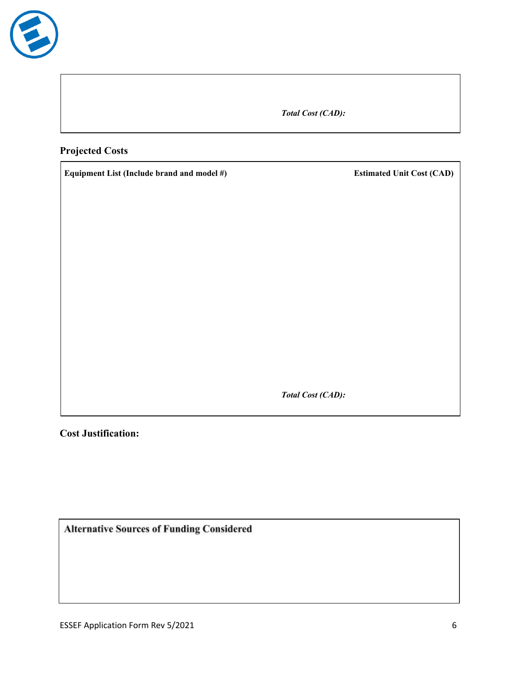

*Total Cost (CAD):*

### **Projected Costs**

**Equipment List (Include brand and model #) Estimated Unit Cost (CAD)**

*Total Cost (CAD):*

**Cost Justification:**

**Alternative Sources of Funding Considered**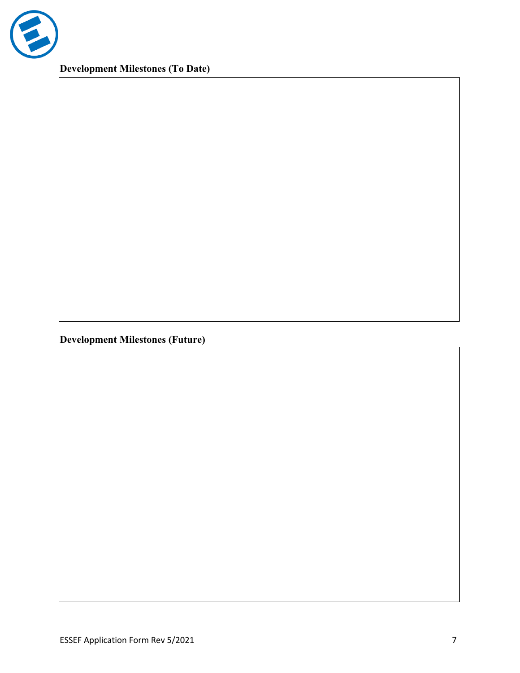

**Development Milestones (To Date)**

**Development Milestones (Future)**